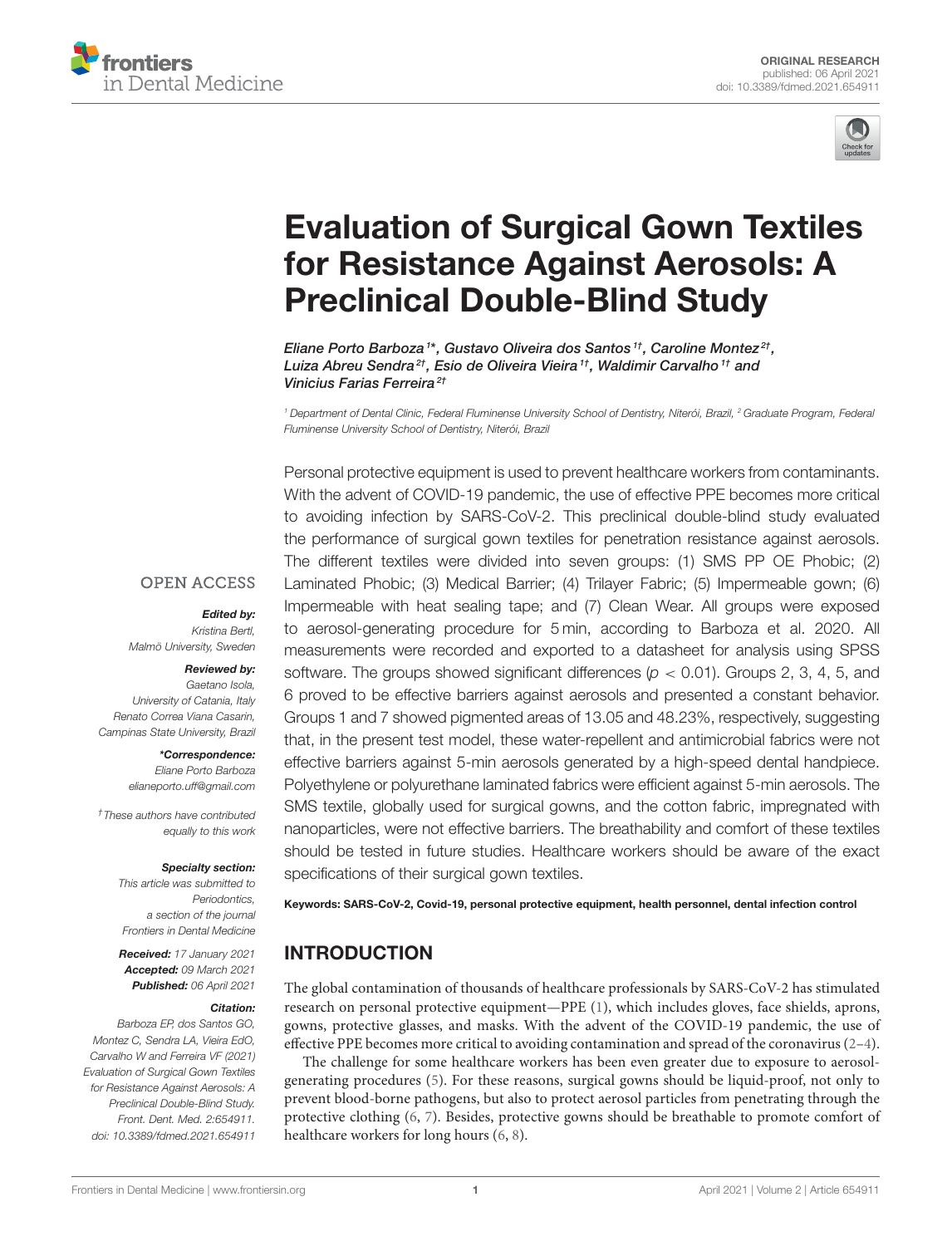



# [Evaluation of Surgical Gown Textiles](https://www.frontiersin.org/articles/10.3389/fdmed.2021.654911/full) for Resistance Against Aerosols: A Preclinical Double-Blind Study

Eliane Porto Barboza<sup>1\*</sup>, Gustavo Oliveira dos Santos<sup>1†</sup>, Caroline Montez<sup>2†</sup>, Luiza Abreu Sendra<sup>2†</sup>, Esio de Oliveira Vieira<sup>1†</sup>, Waldimir Carvalho<sup>1†</sup> and Vinicius Farias Ferreira<sup>2†</sup>

<sup>1</sup> Department of Dental Clinic, Federal Fluminense University School of Dentistry, Niterói, Brazil, <sup>2</sup> Graduate Program, Federal Fluminense University School of Dentistry, Niterói, Brazil

Personal protective equipment is used to prevent healthcare workers from contaminants. With the advent of COVID-19 pandemic, the use of effective PPE becomes more critical to avoiding infection by SARS-CoV-2. This preclinical double-blind study evaluated the performance of surgical gown textiles for penetration resistance against aerosols. The different textiles were divided into seven groups: (1) SMS PP OE Phobic; (2) Laminated Phobic; (3) Medical Barrier; (4) Trilayer Fabric; (5) Impermeable gown; (6) Impermeable with heat sealing tape; and (7) Clean Wear. All groups were exposed to aerosol-generating procedure for 5 min, according to Barboza et al. 2020. All measurements were recorded and exported to a datasheet for analysis using SPSS software. The groups showed significant differences ( $p < 0.01$ ). Groups 2, 3, 4, 5, and 6 proved to be effective barriers against aerosols and presented a constant behavior. Groups 1 and 7 showed pigmented areas of 13.05 and 48.23%, respectively, suggesting that, in the present test model, these water-repellent and antimicrobial fabrics were not effective barriers against 5-min aerosols generated by a high-speed dental handpiece. Polyethylene or polyurethane laminated fabrics were efficient against 5-min aerosols. The SMS textile, globally used for surgical gowns, and the cotton fabric, impregnated with nanoparticles, were not effective barriers. The breathability and comfort of these textiles should be tested in future studies. Healthcare workers should be aware of the exact specifications of their surgical gown textiles.

Keywords: SARS-CoV-2, Covid-19, personal protective equipment, health personnel, dental infection control

#### INTRODUCTION

The global contamination of thousands of healthcare professionals by SARS-CoV-2 has stimulated research on personal protective equipment—PPE [\(1\)](#page-4-0), which includes gloves, face shields, aprons, gowns, protective glasses, and masks. With the advent of the COVID-19 pandemic, the use of effective PPE becomes more critical to avoiding contamination and spread of the coronavirus [\(2](#page-4-1)[–4\)](#page-4-2).

The challenge for some healthcare workers has been even greater due to exposure to aerosolgenerating procedures [\(5\)](#page-4-3). For these reasons, surgical gowns should be liquid-proof, not only to prevent blood-borne pathogens, but also to protect aerosol particles from penetrating through the protective clothing [\(6,](#page-4-4) [7\)](#page-4-5). Besides, protective gowns should be breathable to promote comfort of healthcare workers for long hours [\(6,](#page-4-4) [8\)](#page-4-6).

#### **OPEN ACCESS**

#### Edited by:

Kristina Bertl, Malmö University, Sweden

#### Reviewed by:

Gaetano Isola, University of Catania, Italy Renato Correa Viana Casarin, Campinas State University, Brazil

> \*Correspondence: Eliane Porto Barboza [elianeporto.uff@gmail.com](mailto:elianeporto.uff@gmail.com)

†These authors have contributed equally to this work

#### Specialty section:

This article was submitted to Periodontics, a section of the journal Frontiers in Dental Medicine

Received: 17 January 2021 Accepted: 09 March 2021 Published: 06 April 2021

#### Citation:

Barboza EP, dos Santos GO, Montez C, Sendra LA, Vieira EdO, Carvalho W and Ferreira VF (2021) Evaluation of Surgical Gown Textiles for Resistance Against Aerosols: A Preclinical Double-Blind Study. Front. Dent. Med. 2:654911. doi: [10.3389/fdmed.2021.654911](https://doi.org/10.3389/fdmed.2021.654911)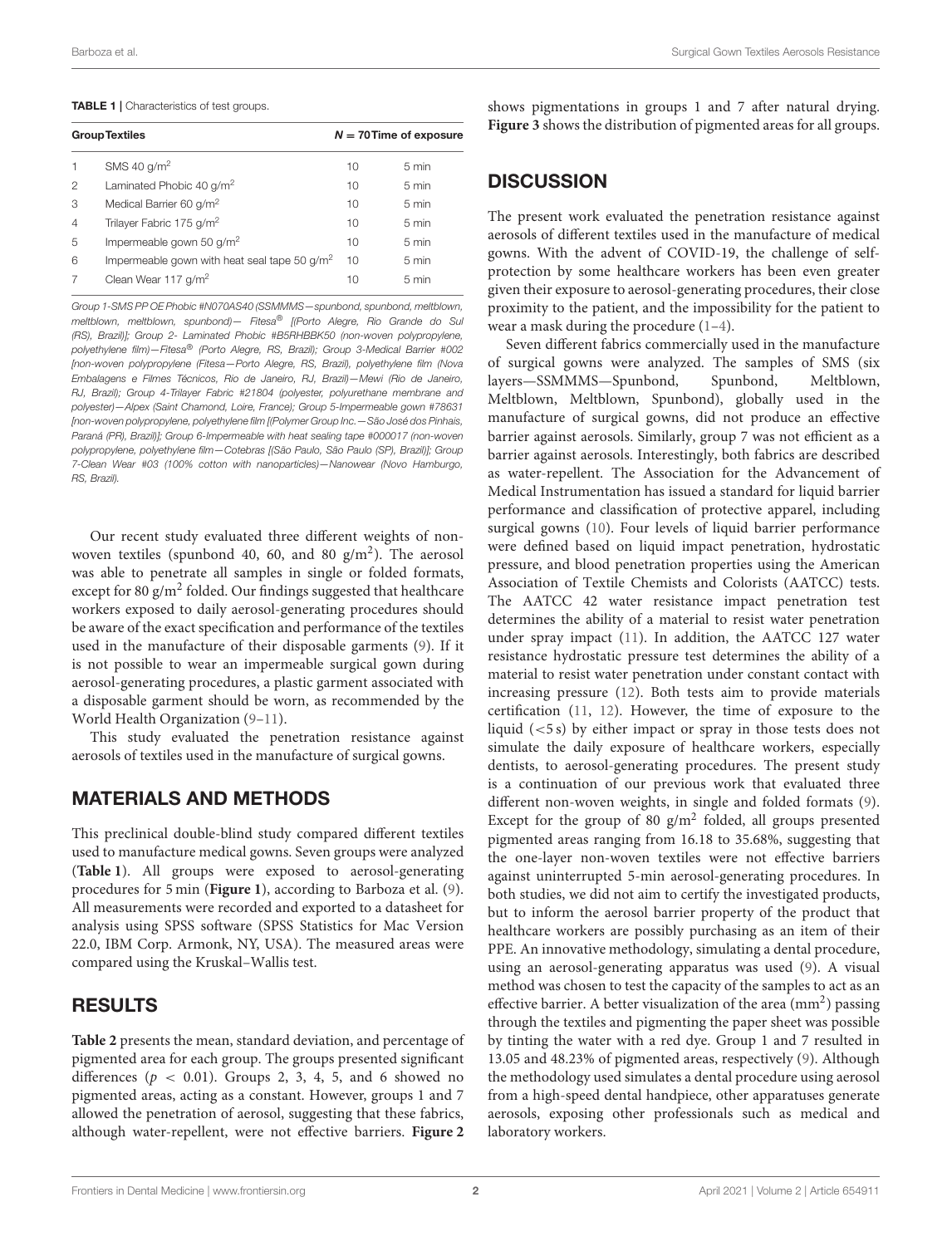#### <span id="page-1-0"></span>TABLE 1 | Characteristics of test groups.

| <b>Group Textiles</b> |                                                 |    | $N = 70$ Time of exposure |  |
|-----------------------|-------------------------------------------------|----|---------------------------|--|
|                       | SMS 40 $q/m^2$                                  | 10 | 5 min                     |  |
| 2                     | Laminated Phobic 40 g/m <sup>2</sup>            | 10 | 5 min                     |  |
| 3                     | Medical Barrier 60 g/m <sup>2</sup>             | 10 | 5 min                     |  |
| $\overline{4}$        | Trilayer Fabric 175 g/m <sup>2</sup>            | 10 | 5 min                     |  |
| 5                     | Impermeable gown 50 g/m <sup>2</sup>            | 10 | 5 min                     |  |
| 6                     | Impermeable gown with heat seal tape 50 $q/m^2$ | 10 | 5 min                     |  |
|                       | Clean Wear 117 g/m <sup>2</sup>                 | 10 | 5 min                     |  |
|                       |                                                 |    |                           |  |

Group 1-SMS PP OE Phobic #N070AS40 (SSMMMS—spunbond, spunbond, meltblown, meltblown, meltblown, spunbond)— Fitesa® [(Porto Alegre, Rio Grande do Sul (RS), Brazil)]; Group 2- Laminated Phobic #B5RHBBK50 (non-woven polypropylene, polyethylene film)—Fitesa® (Porto Alegre, RS, Brazil); Group 3-Medical Barrier #002 [non-woven polypropylene (Fitesa—Porto Alegre, RS, Brazil), polyethylene film (Nova Embalagens e Filmes Técnicos, Rio de Janeiro, RJ, Brazil)—Mewi (Rio de Janeiro, RJ, Brazil); Group 4-Trilayer Fabric #21804 (polyester, polyurethane membrane and polyester)—Alpex (Saint Chamond, Loire, France); Group 5-Impermeable gown #78631 [non-woven polypropylene, polyethylene film [(Polymer Group Inc.—São José dos Pinhais, Paraná (PR), Brazil)]; Group 6-Impermeable with heat sealing tape #000017 (non-woven polypropylene, polyethylene film—Cotebras [(São Paulo, São Paulo (SP), Brazil)]; Group 7-Clean Wear #03 (100% cotton with nanoparticles)—Nanowear (Novo Hamburgo, RS, Brazil).

Our recent study evaluated three different weights of nonwoven textiles (spunbond 40, 60, and 80  $g/m^2$ ). The aerosol was able to penetrate all samples in single or folded formats, except for 80 g/m<sup>2</sup> folded. Our findings suggested that healthcare workers exposed to daily aerosol-generating procedures should be aware of the exact specification and performance of the textiles used in the manufacture of their disposable garments [\(9\)](#page-4-7). If it is not possible to wear an impermeable surgical gown during aerosol-generating procedures, a plastic garment associated with a disposable garment should be worn, as recommended by the World Health Organization [\(9](#page-4-7)[–11\)](#page-4-8).

This study evaluated the penetration resistance against aerosols of textiles used in the manufacture of surgical gowns.

### MATERIALS AND METHODS

This preclinical double-blind study compared different textiles used to manufacture medical gowns. Seven groups were analyzed (**[Table 1](#page-1-0)**). All groups were exposed to aerosol-generating procedures for 5 min (**[Figure 1](#page-2-0)**), according to Barboza et al. [\(9\)](#page-4-7). All measurements were recorded and exported to a datasheet for analysis using SPSS software (SPSS Statistics for Mac Version 22.0, IBM Corp. Armonk, NY, USA). The measured areas were compared using the Kruskal–Wallis test.

#### RESULTS

**[Table 2](#page-2-1)** presents the mean, standard deviation, and percentage of pigmented area for each group. The groups presented significant differences ( $p < 0.01$ ). Groups 2, 3, 4, 5, and 6 showed no pigmented areas, acting as a constant. However, groups 1 and 7 allowed the penetration of aerosol, suggesting that these fabrics, although water-repellent, were not effective barriers. **[Figure 2](#page-3-0)** shows pigmentations in groups 1 and 7 after natural drying. **[Figure 3](#page-3-1)** shows the distribution of pigmented areas for all groups.

### **DISCUSSION**

The present work evaluated the penetration resistance against aerosols of different textiles used in the manufacture of medical gowns. With the advent of COVID-19, the challenge of selfprotection by some healthcare workers has been even greater given their exposure to aerosol-generating procedures, their close proximity to the patient, and the impossibility for the patient to wear a mask during the procedure [\(1–](#page-4-0)[4\)](#page-4-2).

Seven different fabrics commercially used in the manufacture of surgical gowns were analyzed. The samples of SMS (six layers—SSMMMS—Spunbond, Spunbond, Meltblown, Meltblown, Meltblown, Spunbond), globally used in the manufacture of surgical gowns, did not produce an effective barrier against aerosols. Similarly, group 7 was not efficient as a barrier against aerosols. Interestingly, both fabrics are described as water-repellent. The Association for the Advancement of Medical Instrumentation has issued a standard for liquid barrier performance and classification of protective apparel, including surgical gowns [\(10\)](#page-4-9). Four levels of liquid barrier performance were defined based on liquid impact penetration, hydrostatic pressure, and blood penetration properties using the American Association of Textile Chemists and Colorists (AATCC) tests. The AATCC 42 water resistance impact penetration test determines the ability of a material to resist water penetration under spray impact [\(11\)](#page-4-8). In addition, the AATCC 127 water resistance hydrostatic pressure test determines the ability of a material to resist water penetration under constant contact with increasing pressure [\(12\)](#page-4-10). Both tests aim to provide materials certification [\(11,](#page-4-8) [12\)](#page-4-10). However, the time of exposure to the liquid (<5 s) by either impact or spray in those tests does not simulate the daily exposure of healthcare workers, especially dentists, to aerosol-generating procedures. The present study is a continuation of our previous work that evaluated three different non-woven weights, in single and folded formats [\(9\)](#page-4-7). Except for the group of 80  $g/m^2$  folded, all groups presented pigmented areas ranging from 16.18 to 35.68%, suggesting that the one-layer non-woven textiles were not effective barriers against uninterrupted 5-min aerosol-generating procedures. In both studies, we did not aim to certify the investigated products, but to inform the aerosol barrier property of the product that healthcare workers are possibly purchasing as an item of their PPE. An innovative methodology, simulating a dental procedure, using an aerosol-generating apparatus was used [\(9\)](#page-4-7). A visual method was chosen to test the capacity of the samples to act as an effective barrier. A better visualization of the area (mm<sup>2</sup>) passing through the textiles and pigmenting the paper sheet was possible by tinting the water with a red dye. Group 1 and 7 resulted in 13.05 and 48.23% of pigmented areas, respectively [\(9\)](#page-4-7). Although the methodology used simulates a dental procedure using aerosol from a high-speed dental handpiece, other apparatuses generate aerosols, exposing other professionals such as medical and laboratory workers.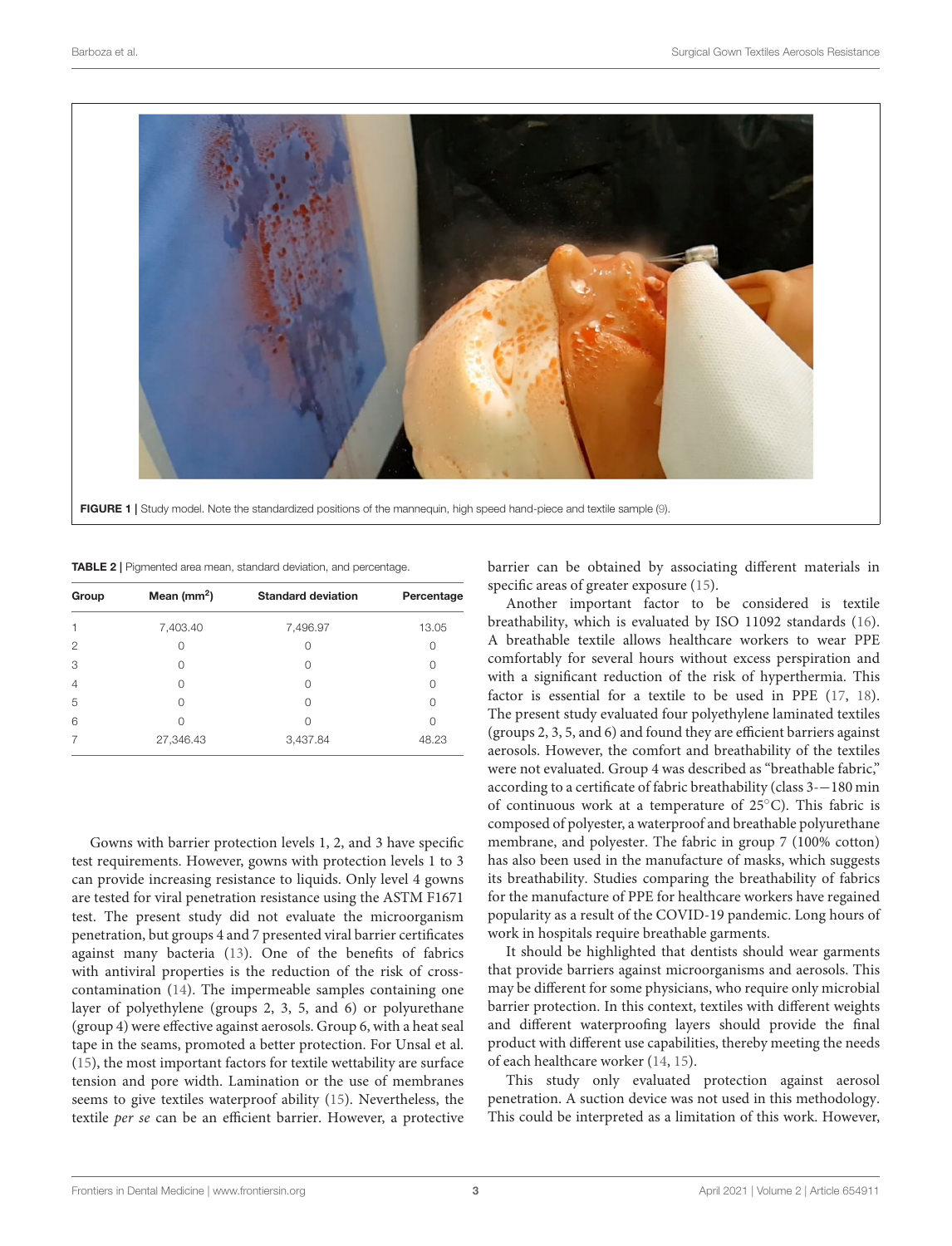

TABLE 2 | Pigmented area mean, standard deviation, and percentage.

<span id="page-2-1"></span><span id="page-2-0"></span>

| Group          | Mean $(mm2)$ | <b>Standard deviation</b> | Percentage |
|----------------|--------------|---------------------------|------------|
|                | 7,403.40     | 7,496.97                  | 13.05      |
| 2              |              | Ω                         | 0          |
| 3              | Ω            | U                         | 0          |
| $\overline{4}$ |              | Ω                         | Ω          |
| 5              |              | Ω                         | Ω          |
| 6              |              | Ω                         | Ω          |
|                | 27,346.43    | 3,437.84                  | 48.23      |

Gowns with barrier protection levels 1, 2, and 3 have specific test requirements. However, gowns with protection levels 1 to 3 can provide increasing resistance to liquids. Only level 4 gowns are tested for viral penetration resistance using the ASTM F1671 test. The present study did not evaluate the microorganism penetration, but groups 4 and 7 presented viral barrier certificates against many bacteria [\(13\)](#page-4-11). One of the benefits of fabrics with antiviral properties is the reduction of the risk of crosscontamination [\(14\)](#page-4-12). The impermeable samples containing one layer of polyethylene (groups 2, 3, 5, and 6) or polyurethane (group 4) were effective against aerosols. Group 6, with a heat seal tape in the seams, promoted a better protection. For Unsal et al. [\(15\)](#page-4-13), the most important factors for textile wettability are surface tension and pore width. Lamination or the use of membranes seems to give textiles waterproof ability [\(15\)](#page-4-13). Nevertheless, the textile per se can be an efficient barrier. However, a protective barrier can be obtained by associating different materials in specific areas of greater exposure [\(15\)](#page-4-13).

Another important factor to be considered is textile breathability, which is evaluated by ISO 11092 standards [\(16\)](#page-4-14). A breathable textile allows healthcare workers to wear PPE comfortably for several hours without excess perspiration and with a significant reduction of the risk of hyperthermia. This factor is essential for a textile to be used in PPE [\(17,](#page-4-15) [18\)](#page-5-0). The present study evaluated four polyethylene laminated textiles (groups 2, 3, 5, and 6) and found they are efficient barriers against aerosols. However, the comfort and breathability of the textiles were not evaluated. Group 4 was described as "breathable fabric," according to a certificate of fabric breathability (class 3-−180 min of continuous work at a temperature of 25◦C). This fabric is composed of polyester, a waterproof and breathable polyurethane membrane, and polyester. The fabric in group 7 (100% cotton) has also been used in the manufacture of masks, which suggests its breathability. Studies comparing the breathability of fabrics for the manufacture of PPE for healthcare workers have regained popularity as a result of the COVID-19 pandemic. Long hours of work in hospitals require breathable garments.

It should be highlighted that dentists should wear garments that provide barriers against microorganisms and aerosols. This may be different for some physicians, who require only microbial barrier protection. In this context, textiles with different weights and different waterproofing layers should provide the final product with different use capabilities, thereby meeting the needs of each healthcare worker [\(14,](#page-4-12) [15\)](#page-4-13).

This study only evaluated protection against aerosol penetration. A suction device was not used in this methodology. This could be interpreted as a limitation of this work. However,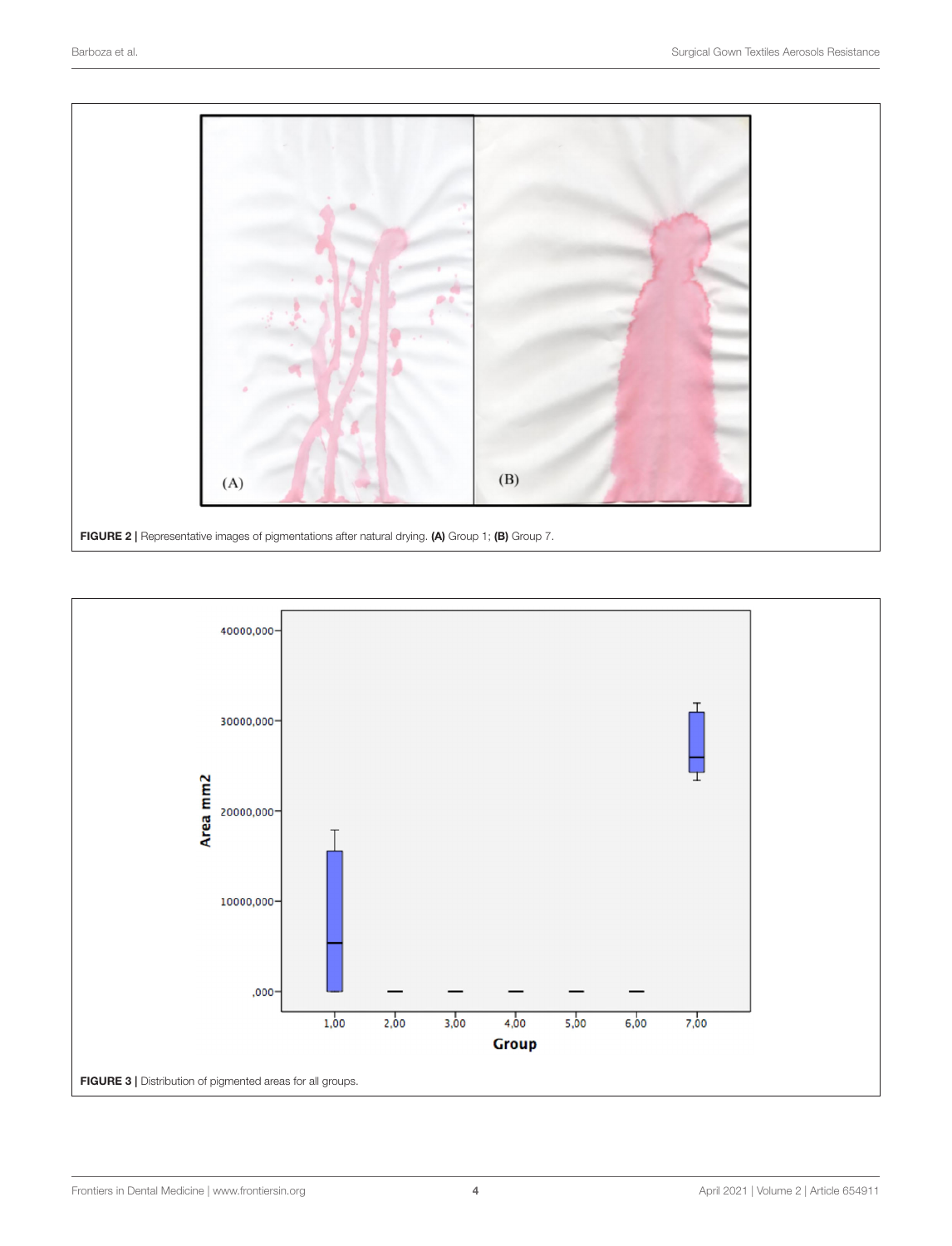

<span id="page-3-1"></span><span id="page-3-0"></span>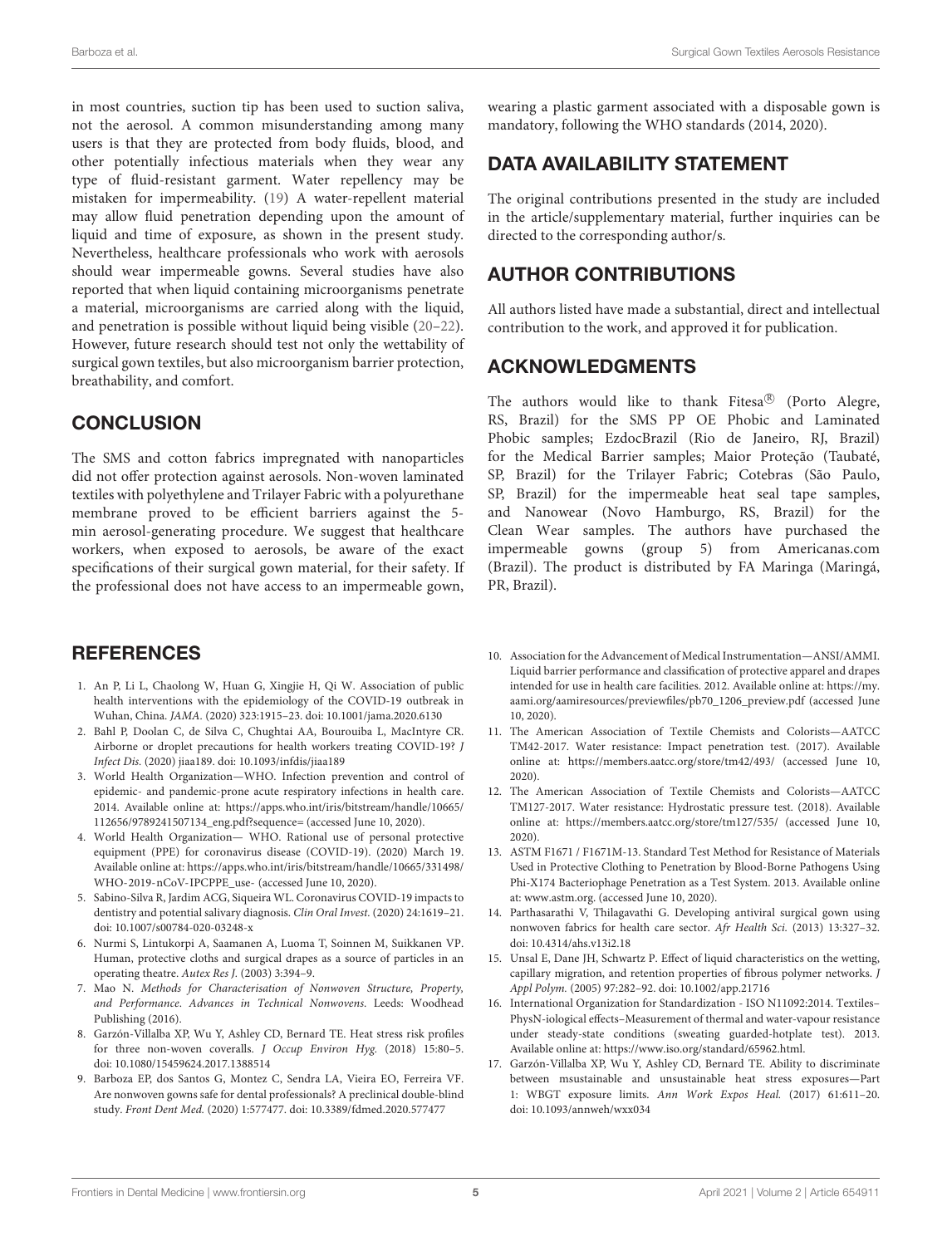in most countries, suction tip has been used to suction saliva, not the aerosol. A common misunderstanding among many users is that they are protected from body fluids, blood, and other potentially infectious materials when they wear any type of fluid-resistant garment. Water repellency may be mistaken for impermeability. [\(19\)](#page-5-1) A water-repellent material may allow fluid penetration depending upon the amount of liquid and time of exposure, as shown in the present study. Nevertheless, healthcare professionals who work with aerosols should wear impermeable gowns. Several studies have also reported that when liquid containing microorganisms penetrate a material, microorganisms are carried along with the liquid, and penetration is possible without liquid being visible [\(20–](#page-5-2)[22\)](#page-5-3). However, future research should test not only the wettability of surgical gown textiles, but also microorganism barrier protection, breathability, and comfort.

#### **CONCLUSION**

The SMS and cotton fabrics impregnated with nanoparticles did not offer protection against aerosols. Non-woven laminated textiles with polyethylene and Trilayer Fabric with a polyurethane membrane proved to be efficient barriers against the 5 min aerosol-generating procedure. We suggest that healthcare workers, when exposed to aerosols, be aware of the exact specifications of their surgical gown material, for their safety. If the professional does not have access to an impermeable gown,

### **REFERENCES**

- <span id="page-4-0"></span>1. An P, Li L, Chaolong W, Huan G, Xingjie H, Qi W. Association of public health interventions with the epidemiology of the COVID-19 outbreak in Wuhan, China. JAMA. (2020) 323:1915–23. doi: [10.1001/jama.2020.6130](https://doi.org/10.1001/jama.2020.6130)
- <span id="page-4-1"></span>2. Bahl P, Doolan C, de Silva C, Chughtai AA, Bourouiba L, MacIntyre CR. Airborne or droplet precautions for health workers treating COVID-19? J Infect Dis. (2020) jiaa189. doi: [10.1093/infdis/jiaa189](https://doi.org/10.1093/infdis/jiaa189)
- 3. World Health Organization—WHO. Infection prevention and control of epidemic- and pandemic-prone acute respiratory infections in health care. 2014. Available online at: [https://apps.who.int/iris/bitstream/handle/10665/](https://apps.who.int/iris/bitstream/handle/10665/112656/9789241507134_eng.pdf?sequence=) [112656/9789241507134\\_eng.pdf?sequence=](https://apps.who.int/iris/bitstream/handle/10665/112656/9789241507134_eng.pdf?sequence=) (accessed June 10, 2020).
- <span id="page-4-2"></span>4. World Health Organization— WHO. Rational use of personal protective equipment (PPE) for coronavirus disease (COVID-19). (2020) March 19. Available online at: [https://apps.who.int/iris/bitstream/handle/10665/331498/](https://apps.who.int/iris/bitstream/handle/10665/331498/WHO-2019-nCoV-IPCPPE_use-) [WHO-2019-nCoV-IPCPPE\\_use-](https://apps.who.int/iris/bitstream/handle/10665/331498/WHO-2019-nCoV-IPCPPE_use-) (accessed June 10, 2020).
- <span id="page-4-3"></span>5. Sabino-Silva R, Jardim ACG, Siqueira WL. Coronavirus COVID-19 impacts to dentistry and potential salivary diagnosis. Clin Oral Invest. (2020) 24:1619–21. doi: [10.1007/s00784-020-03248-x](https://doi.org/10.1007/s00784-020-03248-x)
- <span id="page-4-4"></span>6. Nurmi S, Lintukorpi A, Saamanen A, Luoma T, Soinnen M, Suikkanen VP. Human, protective cloths and surgical drapes as a source of particles in an operating theatre. Autex Res J. (2003) 3:394–9.
- <span id="page-4-5"></span>7. Mao N. Methods for Characterisation of Nonwoven Structure, Property, and Performance. Advances in Technical Nonwovens. Leeds: Woodhead Publishing (2016).
- <span id="page-4-6"></span>8. Garzón-Villalba XP, Wu Y, Ashley CD, Bernard TE. Heat stress risk profiles for three non-woven coveralls. J Occup Environ Hyg. (2018) 15:80–5. doi: [10.1080/15459624.2017.1388514](https://doi.org/10.1080/15459624.2017.1388514)
- <span id="page-4-7"></span>9. Barboza EP, dos Santos G, Montez C, Sendra LA, Vieira EO, Ferreira VF. Are nonwoven gowns safe for dental professionals? A preclinical double-blind study. Front Dent Med. (2020) 1:577477. doi: [10.3389/fdmed.2020.577477](https://doi.org/10.3389/fdmed.2020.577477)

wearing a plastic garment associated with a disposable gown is mandatory, following the WHO standards (2014, 2020).

## DATA AVAILABILITY STATEMENT

The original contributions presented in the study are included in the article/supplementary material, further inquiries can be directed to the corresponding author/s.

# AUTHOR CONTRIBUTIONS

All authors listed have made a substantial, direct and intellectual contribution to the work, and approved it for publication.

### ACKNOWLEDGMENTS

The authors would like to thank Fitesa® (Porto Alegre, RS, Brazil) for the SMS PP OE Phobic and Laminated Phobic samples; EzdocBrazil (Rio de Janeiro, RJ, Brazil) for the Medical Barrier samples; Maior Proteção (Taubaté, SP, Brazil) for the Trilayer Fabric; Cotebras (São Paulo, SP, Brazil) for the impermeable heat seal tape samples, and Nanowear (Novo Hamburgo, RS, Brazil) for the Clean Wear samples. The authors have purchased the impermeable gowns (group 5) from Americanas.com (Brazil). The product is distributed by FA Maringa (Maringá, PR, Brazil).

- <span id="page-4-9"></span>10. Association for the Advancement of Medical Instrumentation—ANSI/AMMI. Liquid barrier performance and classification of protective apparel and drapes intended for use in health care facilities. 2012. Available online at: [https://my.](https://my.aami.org/aamiresources/previewfiles/pb70_1206_preview.pdf) [aami.org/aamiresources/previewfiles/pb70\\_1206\\_preview.pdf](https://my.aami.org/aamiresources/previewfiles/pb70_1206_preview.pdf) (accessed June 10, 2020).
- <span id="page-4-8"></span>11. The American Association of Textile Chemists and Colorists—AATCC TM42-2017. Water resistance: Impact penetration test. (2017). Available online at:<https://members.aatcc.org/store/tm42/493/> (accessed June 10, 2020).
- <span id="page-4-10"></span>12. The American Association of Textile Chemists and Colorists—AATCC TM127-2017. Water resistance: Hydrostatic pressure test. (2018). Available online at:<https://members.aatcc.org/store/tm127/535/> (accessed June 10, 2020).
- <span id="page-4-11"></span>13. ASTM F1671 / F1671M-13. Standard Test Method for Resistance of Materials Used in Protective Clothing to Penetration by Blood-Borne Pathogens Using Phi-X174 Bacteriophage Penetration as a Test System. 2013. Available online at: [www.astm.org.](http://www.astm.org) (accessed June 10, 2020).
- <span id="page-4-12"></span>14. Parthasarathi V, Thilagavathi G. Developing antiviral surgical gown using nonwoven fabrics for health care sector. Afr Health Sci. (2013) 13:327–32. doi: [10.4314/ahs.v13i2.18](https://doi.org/10.4314/ahs.v13i2.18)
- <span id="page-4-13"></span>15. Unsal E, Dane JH, Schwartz P. Effect of liquid characteristics on the wetting, capillary migration, and retention properties of fibrous polymer networks. J Appl Polym. (2005) 97:282–92. doi: [10.1002/app.21716](https://doi.org/10.1002/app.21716)
- <span id="page-4-14"></span>16. International Organization for Standardization - ISO N11092:2014. Textiles– PhysN-iological effects–Measurement of thermal and water-vapour resistance under steady-state conditions (sweating guarded-hotplate test). 2013. Available online at: [https://www.iso.org/standard/65962.html.](https://www.iso.org/standard/65962.html)
- <span id="page-4-15"></span>17. Garzón-Villalba XP, Wu Y, Ashley CD, Bernard TE. Ability to discriminate between msustainable and unsustainable heat stress exposures—Part 1: WBGT exposure limits. Ann Work Expos Heal. (2017) 61:611–20. doi: [10.1093/annweh/wxx034](https://doi.org/10.1093/annweh/wxx034)